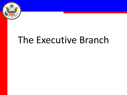

# The Executive Branch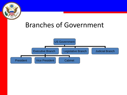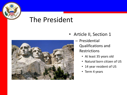

### The President



- Article II, Section 1
	- Presidential Qualifications and Restrictions
		- At least 35 years old
		- Natural born citizen of US
		- 14 year resident of US
		- Term 4 years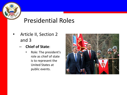

- Article II, Section 2 and 3
	- **Chief of State**:
		- Role: The president's role as chief of state is to represent the United States at public events.

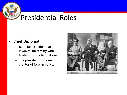#### • **Chief Diplomat**

- Role: Being a diplomat involves interacting with leaders from other nations.
- The president is the main creator of foreign policy.

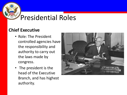#### **Chief Executive**

- Role: The President controlled agencies have the responsibility and authority to carry out the laws made by congress.
- The president is the head of the Executive Branch, and has highest authority.

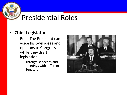#### • **Chief Legislator**

- Role: The President can voice his own ideas and opinions to Congress while they draft legislation.
	- Through speeches and meetings with different Senators

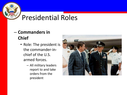#### – **Commanders in Chief**

- Role: The president is the commander-inchief of the U.S. armed forces.
	- All military leaders report to and take orders from the president

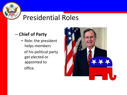

#### – **Chief of Party**

• Role: the president helps members of his political party get elected or appointed to office.